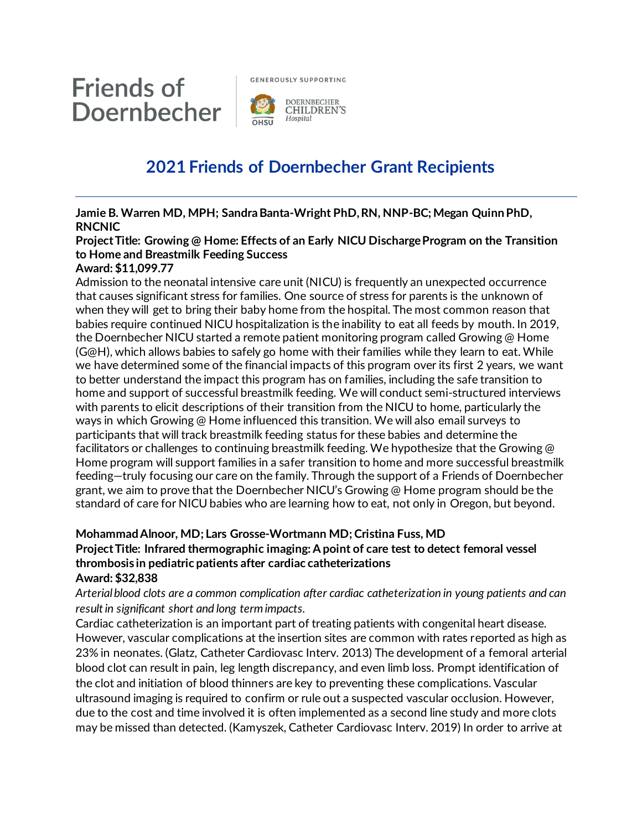

**GENEROUSLY SUPPORTING** 



# **2021 Friends of Doernbecher Grant Recipients**

**Jamie B. Warren MD, MPH; Sandra Banta-Wright PhD, RN, NNP-BC; Megan Quinn PhD, RNCNIC**

## **Project Title: Growing @ Home: Effects of an Early NICU Discharge Program on the Transition to Home and Breastmilk Feeding Success**

#### **Award: \$11,099.77**

Admission to the neonatal intensive care unit (NICU) is frequently an unexpected occurrence that causes significant stress for families. One source of stress for parents is the unknown of when they will get to bring their baby home from the hospital. The most common reason that babies require continued NICU hospitalization is the inability to eat all feeds by mouth. In 2019, the Doernbecher NICU started a remote patient monitoring program called Growing @ Home (G@H), which allows babies to safely go home with their families while they learn to eat. While we have determined some of the financial impacts of this program over its first 2 years, we want to better understand the impact this program has on families, including the safe transition to home and support of successful breastmilk feeding. We will conduct semi-structured interviews with parents to elicit descriptions of their transition from the NICU to home, particularly the ways in which Growing @ Home influenced this transition. We will also email surveys to participants that will track breastmilk feeding status for these babies and determine the facilitators or challenges to continuing breastmilk feeding. We hypothesize that the Growing @ Home program will support families in a safer transition to home and more successful breastmilk feeding—truly focusing our care on the family. Through the support of a Friends of Doernbecher grant, we aim to prove that the Doernbecher NICU's Growing @ Home program should be the standard of care for NICU babies who are learning how to eat, not only in Oregon, but beyond.

# **Mohammad Alnoor, MD; Lars Grosse-Wortmann MD; Cristina Fuss, MD**

**Project Title: Infrared thermographic imaging: A point of care test to detect femoral vessel thrombosis in pediatric patients after cardiac catheterizations**

#### **Award: \$32,838**

*Arterial blood clots are a common complication after cardiac catheterization in young patients and can result in significant short and long term impacts.*

Cardiac catheterization is an important part of treating patients with congenital heart disease. However, vascular complications at the insertion sites are common with rates reported as high as 23% in neonates. (Glatz, Catheter Cardiovasc Interv. 2013) The development of a femoral arterial blood clot can result in pain, leg length discrepancy, and even limb loss. Prompt identification of the clot and initiation of blood thinners are key to preventing these complications. Vascular ultrasound imaging is required to confirm or rule out a suspected vascular occlusion. However, due to the cost and time involved it is often implemented as a second line study and more clots may be missed than detected. (Kamyszek, Catheter Cardiovasc Interv. 2019) In order to arrive at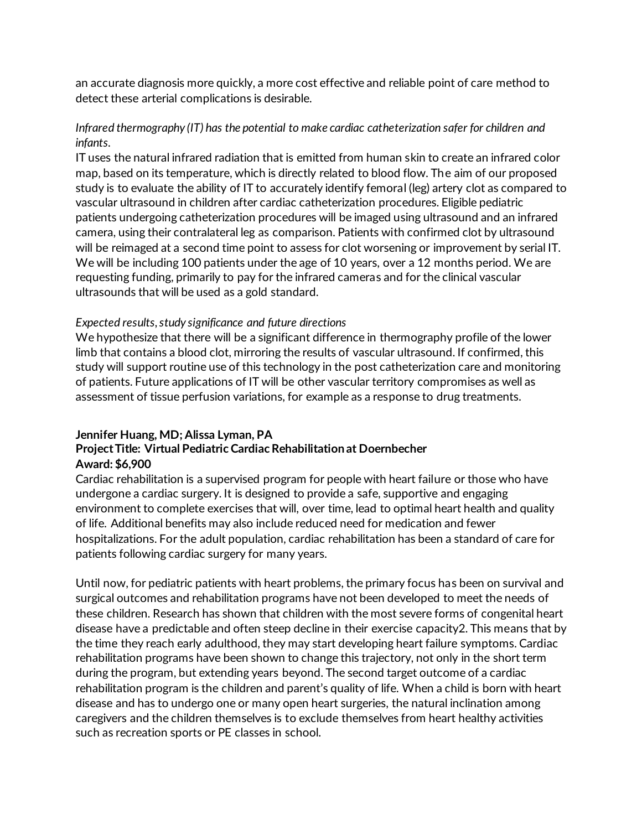an accurate diagnosis more quickly, a more cost effective and reliable point of care method to detect these arterial complications is desirable.

### *Infrared thermography (IT) has the potential to make cardiac catheterization safer for children and infants.*

IT uses the natural infrared radiation that is emitted from human skin to create an infrared color map, based on its temperature, which is directly related to blood flow. The aim of our proposed study is to evaluate the ability of IT to accurately identify femoral (leg) artery clot as compared to vascular ultrasound in children after cardiac catheterization procedures. Eligible pediatric patients undergoing catheterization procedures will be imaged using ultrasound and an infrared camera, using their contralateral leg as comparison. Patients with confirmed clot by ultrasound will be reimaged at a second time point to assess for clot worsening or improvement by serial IT. We will be including 100 patients under the age of 10 years, over a 12 months period. We are requesting funding, primarily to pay for the infrared cameras and for the clinical vascular ultrasounds that will be used as a gold standard.

#### *Expected results, study significance and future directions*

We hypothesize that there will be a significant difference in thermography profile of the lower limb that contains a blood clot, mirroring the results of vascular ultrasound. If confirmed, this study will support routine use of this technology in the post catheterization care and monitoring of patients. Future applications of IT will be other vascular territory compromises as well as assessment of tissue perfusion variations, for example as a response to drug treatments.

#### **Jennifer Huang, MD; Alissa Lyman, PA**

#### **Project Title: Virtual Pediatric Cardiac Rehabilitation at Doernbecher Award: \$6,900**

Cardiac rehabilitation is a supervised program for people with heart failure or those who have undergone a cardiac surgery. It is designed to provide a safe, supportive and engaging environment to complete exercises that will, over time, lead to optimal heart health and quality of life. Additional benefits may also include reduced need for medication and fewer hospitalizations. For the adult population, cardiac rehabilitation has been a standard of care for patients following cardiac surgery for many years.

Until now, for pediatric patients with heart problems, the primary focus has been on survival and surgical outcomes and rehabilitation programs have not been developed to meet the needs of these children. Research has shown that children with the most severe forms of congenital heart disease have a predictable and often steep decline in their exercise capacity2. This means that by the time they reach early adulthood, they may start developing heart failure symptoms. Cardiac rehabilitation programs have been shown to change this trajectory, not only in the short term during the program, but extending years beyond. The second target outcome of a cardiac rehabilitation program is the children and parent's quality of life. When a child is born with heart disease and has to undergo one or many open heart surgeries, the natural inclination among caregivers and the children themselves is to exclude themselves from heart healthy activities such as recreation sports or PE classes in school.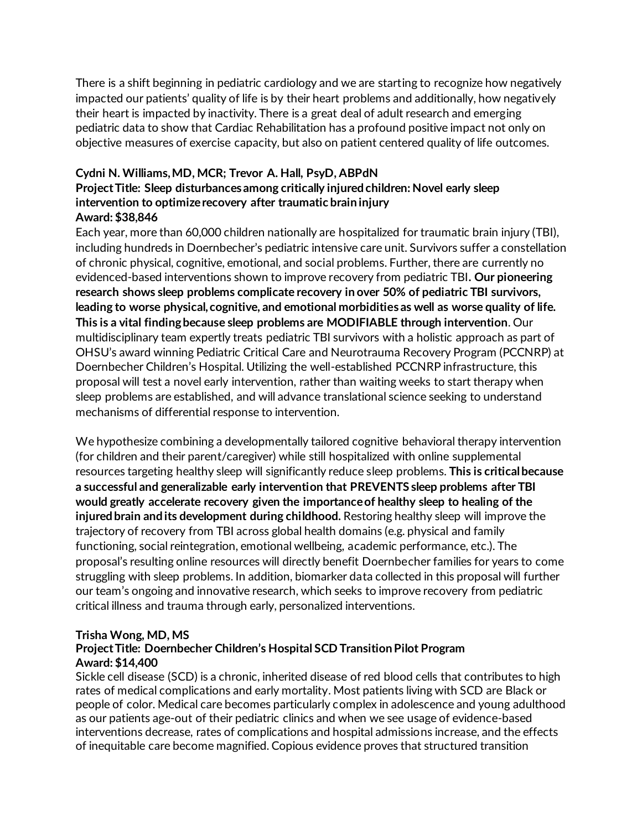There is a shift beginning in pediatric cardiology and we are starting to recognize how negatively impacted our patients' quality of life is by their heart problems and additionally, how negatively their heart is impacted by inactivity. There is a great deal of adult research and emerging pediatric data to show that Cardiac Rehabilitation has a profound positive impact not only on objective measures of exercise capacity, but also on patient centered quality of life outcomes.

### **Cydni N. Williams, MD, MCR; Trevor A. Hall, PsyD, ABPdN**

#### **Project Title: Sleep disturbances among critically injured children: Novel early sleep intervention to optimize recovery after traumatic brain injury Award: \$38,846**

Each year, more than 60,000 children nationally are hospitalized for traumatic brain injury (TBI), including hundreds in Doernbecher's pediatric intensive care unit. Survivors suffer a constellation of chronic physical, cognitive, emotional, and social problems. Further, there are currently no evidenced-based interventions shown to improve recovery from pediatric TBI**. Our pioneering research shows sleep problems complicate recovery in over 50% of pediatric TBI survivors, leading to worse physical, cognitive, and emotional morbidities as well as worse quality of life. This is a vital finding because sleep problems are MODIFIABLE through intervention**. Our multidisciplinary team expertly treats pediatric TBI survivors with a holistic approach as part of OHSU's award winning Pediatric Critical Care and Neurotrauma Recovery Program (PCCNRP) at Doernbecher Children's Hospital. Utilizing the well-established PCCNRP infrastructure, this proposal will test a novel early intervention, rather than waiting weeks to start therapy when sleep problems are established, and will advance translational science seeking to understand mechanisms of differential response to intervention.

We hypothesize combining a developmentally tailored cognitive behavioral therapy intervention (for children and their parent/caregiver) while still hospitalized with online supplemental resources targeting healthy sleep will significantly reduce sleep problems. **This is critical because a successful and generalizable early intervention that PREVENTS sleep problems after TBI would greatly accelerate recovery given the importance of healthy sleep to healing of the injured brain and its development during childhood.** Restoring healthy sleep will improve the trajectory of recovery from TBI across global health domains (e.g. physical and family functioning, social reintegration, emotional wellbeing, academic performance, etc.). The proposal's resulting online resources will directly benefit Doernbecher families for years to come struggling with sleep problems. In addition, biomarker data collected in this proposal will further our team's ongoing and innovative research, which seeks to improve recovery from pediatric critical illness and trauma through early, personalized interventions.

#### **Trisha Wong, MD, MS**

#### **Project Title: Doernbecher Children's Hospital SCD Transition Pilot Program Award: \$14,400**

Sickle cell disease (SCD) is a chronic, inherited disease of red blood cells that contributes to high rates of medical complications and early mortality. Most patients living with SCD are Black or people of color. Medical care becomes particularly complex in adolescence and young adulthood as our patients age-out of their pediatric clinics and when we see usage of evidence-based interventions decrease, rates of complications and hospital admissions increase, and the effects of inequitable care become magnified. Copious evidence proves that structured transition